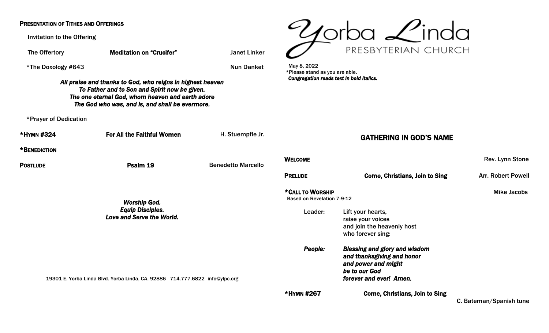### PRESENTATION OF TITHES AND OFFERINGS

Invitation to the Offering

The Offertory **Meditation on "Crucifer"** Janet Linker \*The Doxology #643 Nun Danket *All praise and thanks to God, who reigns in highest heaven To Father and to Son and Spirit now be given. The one eternal God, whom heaven and earth adore The God who was, and is, and shall be evermore.*  \*Prayer of Dedication \*HYMN #324 For All the Faithful Women H. Stuempfle Jr. \*BENEDICTION PostLUDE **Provides Contains Contains PostLUDE** Providence Providence Providence Providence Providence Providence P *Worship God. Equip Disciples.*  Love and Serve the W 19301 E. Yorba Linda Blvd. Yorba Linda, CA. 92886 May 8, 2022 \*Please stand as you are able. Based on Revelation 7:9-12



*Congregation reads text in bold italics.* 

# GATHERING IN GOD'S NAME

|                            | <b>Benedetto Marcello</b> | <b>WELCOME</b>                                        |                                                                                                                                       | Rev. Lynn Stone           |
|----------------------------|---------------------------|-------------------------------------------------------|---------------------------------------------------------------------------------------------------------------------------------------|---------------------------|
|                            |                           | <b>PRELUDE</b>                                        | <b>Come, Christians, Join to Sing</b>                                                                                                 | <b>Arr. Robert Powell</b> |
|                            |                           | *CALL TO WORSHIP<br><b>Based on Revelation 7:9-12</b> |                                                                                                                                       | <b>Mike Jacobs</b>        |
| orld.                      |                           | Leader:                                               | Lift your hearts,<br>raise your voices<br>and join the heavenly host<br>who forever sing:                                             |                           |
| 714.777.6822 info@ylpc.org |                           | People:                                               | <b>Blessing and glory and wisdom</b><br>and thanksgiving and honor<br>and power and might<br>be to our God<br>forever and ever! Amen. |                           |
|                            |                           | *HYMN #267                                            | <b>Come, Christians, Join to Sing</b>                                                                                                 | C. Bateman/Spanish tune   |